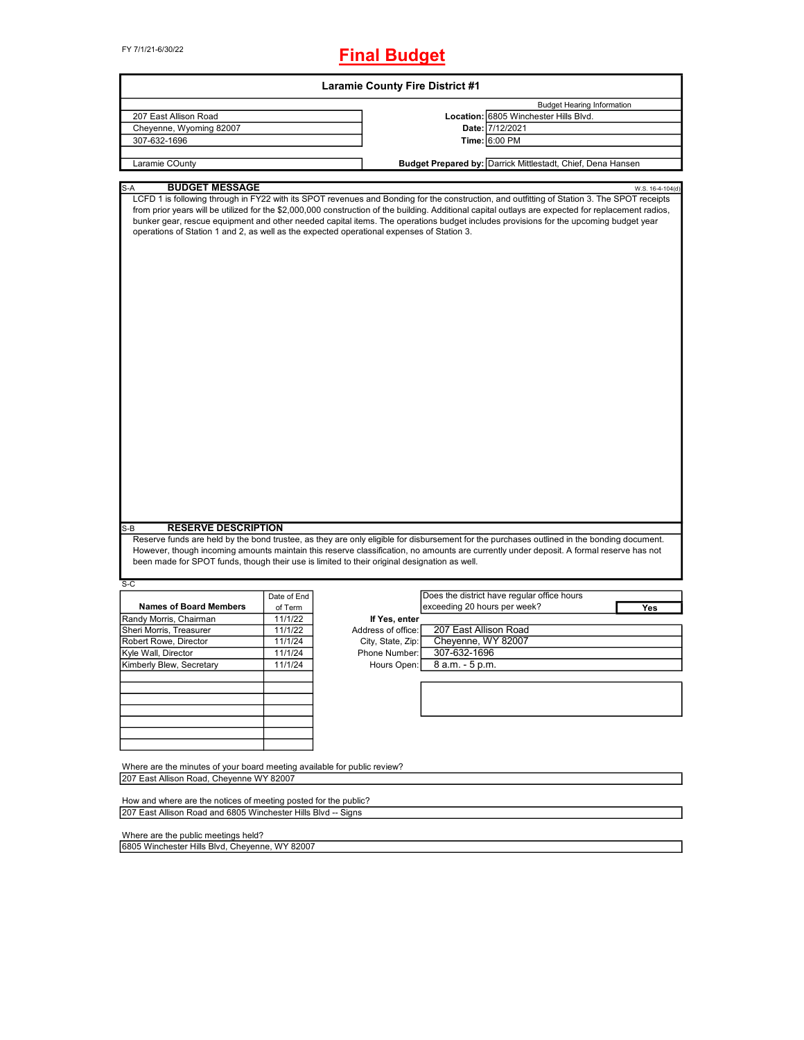FY 7/1/21-6/30/22

## **Final Budget**

| <b>Laramie County Fire District #1</b>                                                                                              |                    |                                    |                                                                                                                                                                                                                                                                                                                                                                                                                                            |  |  |  |  |
|-------------------------------------------------------------------------------------------------------------------------------------|--------------------|------------------------------------|--------------------------------------------------------------------------------------------------------------------------------------------------------------------------------------------------------------------------------------------------------------------------------------------------------------------------------------------------------------------------------------------------------------------------------------------|--|--|--|--|
|                                                                                                                                     |                    |                                    | <b>Budget Hearing Information</b>                                                                                                                                                                                                                                                                                                                                                                                                          |  |  |  |  |
| 207 East Allison Road                                                                                                               |                    |                                    | Location: 6805 Winchester Hills Blvd.                                                                                                                                                                                                                                                                                                                                                                                                      |  |  |  |  |
| Cheyenne, Wyoming 82007                                                                                                             |                    |                                    | Date: 7/12/2021                                                                                                                                                                                                                                                                                                                                                                                                                            |  |  |  |  |
| 307-632-1696                                                                                                                        |                    |                                    | Time: 6:00 PM                                                                                                                                                                                                                                                                                                                                                                                                                              |  |  |  |  |
|                                                                                                                                     |                    |                                    |                                                                                                                                                                                                                                                                                                                                                                                                                                            |  |  |  |  |
| Laramie COunty                                                                                                                      |                    |                                    | Budget Prepared by: Darrick Mittlestadt, Chief, Dena Hansen                                                                                                                                                                                                                                                                                                                                                                                |  |  |  |  |
| <b>BUDGET MESSAGE</b><br>S-A                                                                                                        |                    |                                    | W.S. 16-4-104(d)                                                                                                                                                                                                                                                                                                                                                                                                                           |  |  |  |  |
| operations of Station 1 and 2, as well as the expected operational expenses of Station 3.                                           |                    |                                    | LCFD 1 is following through in FY22 with its SPOT revenues and Bonding for the construction, and outfitting of Station 3. The SPOT receipts<br>from prior years will be utilized for the \$2,000,000 construction of the building. Additional capital outlays are expected for replacement radios,<br>bunker gear, rescue equipment and other needed capital items. The operations budget includes provisions for the upcoming budget year |  |  |  |  |
| <b>RESERVE DESCRIPTION</b><br>$S-B$<br>been made for SPOT funds, though their use is limited to their original designation as well. |                    |                                    | Reserve funds are held by the bond trustee, as they are only eligible for disbursement for the purchases outlined in the bonding document.<br>However, though incoming amounts maintain this reserve classification, no amounts are currently under deposit. A formal reserve has not                                                                                                                                                      |  |  |  |  |
| $S-C$                                                                                                                               |                    |                                    |                                                                                                                                                                                                                                                                                                                                                                                                                                            |  |  |  |  |
|                                                                                                                                     | Date of End        |                                    | Does the district have regular office hours                                                                                                                                                                                                                                                                                                                                                                                                |  |  |  |  |
| <b>Names of Board Members</b>                                                                                                       | of Term            |                                    | exceeding 20 hours per week?<br>Yes                                                                                                                                                                                                                                                                                                                                                                                                        |  |  |  |  |
| Randy Morris, Chairman                                                                                                              | 11/1/22            | If Yes, enter                      |                                                                                                                                                                                                                                                                                                                                                                                                                                            |  |  |  |  |
| Sheri Morris, Treasurer                                                                                                             | 11/1/22            | Address of office:                 | 207 East Allison Road                                                                                                                                                                                                                                                                                                                                                                                                                      |  |  |  |  |
| Robert Rowe, Director                                                                                                               | 11/1/24<br>11/1/24 | City, State, Zip:<br>Phone Number: | Cheyenne, WY 82007<br>307-632-1696                                                                                                                                                                                                                                                                                                                                                                                                         |  |  |  |  |
| Kyle Wall, Director                                                                                                                 |                    |                                    |                                                                                                                                                                                                                                                                                                                                                                                                                                            |  |  |  |  |
| Kimberly Blew, Secretary                                                                                                            | 11/1/24            | Hours Open:                        | 8 a.m. - 5 p.m.                                                                                                                                                                                                                                                                                                                                                                                                                            |  |  |  |  |
|                                                                                                                                     |                    |                                    |                                                                                                                                                                                                                                                                                                                                                                                                                                            |  |  |  |  |
|                                                                                                                                     |                    |                                    |                                                                                                                                                                                                                                                                                                                                                                                                                                            |  |  |  |  |
|                                                                                                                                     |                    |                                    |                                                                                                                                                                                                                                                                                                                                                                                                                                            |  |  |  |  |
| Where are the minutes of your board meeting available for public review?                                                            |                    |                                    |                                                                                                                                                                                                                                                                                                                                                                                                                                            |  |  |  |  |
| 207 East Allison Road, Cheyenne WY 82007                                                                                            |                    |                                    |                                                                                                                                                                                                                                                                                                                                                                                                                                            |  |  |  |  |
| How and where are the notices of meeting posted for the public?<br>207 East Allison Road and 6805 Winchester Hills Blvd -- Signs    |                    |                                    |                                                                                                                                                                                                                                                                                                                                                                                                                                            |  |  |  |  |
|                                                                                                                                     |                    |                                    |                                                                                                                                                                                                                                                                                                                                                                                                                                            |  |  |  |  |

Where are the public meetings held?

6805 Winchester Hills Blvd, Cheyenne, WY 82007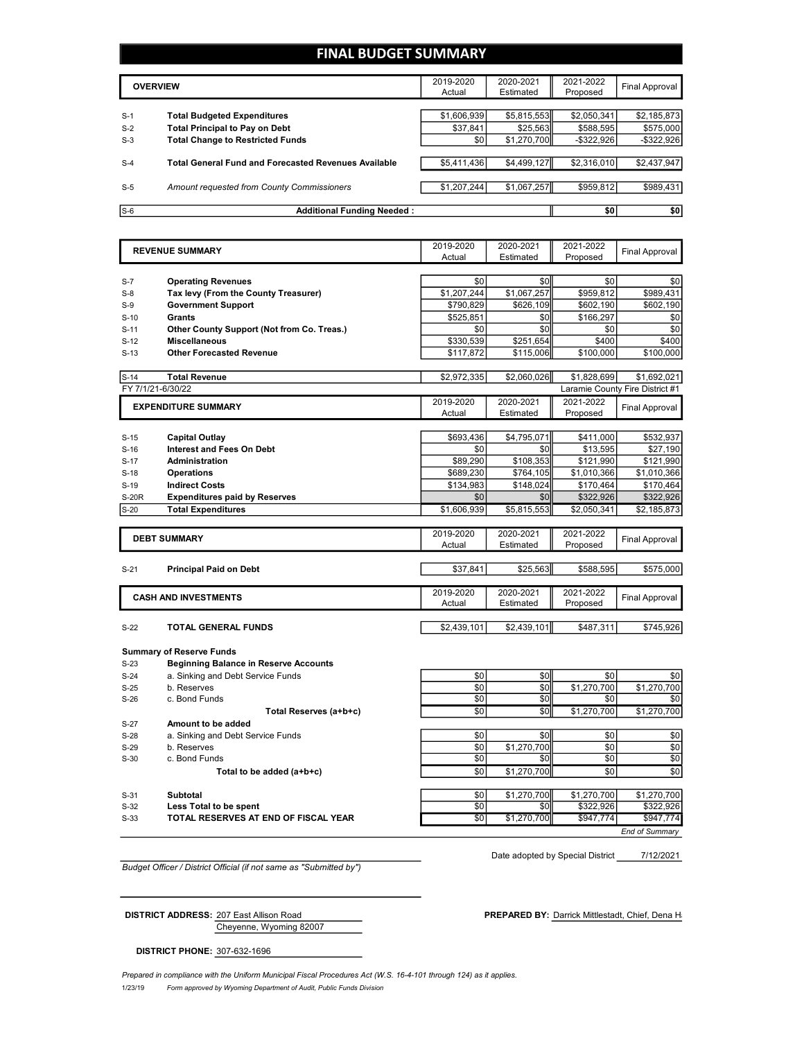### **FINAL BUDGET SUMMARY**

|       | <b>OVERVIEW</b>                                             | 2019-2020<br>Actual | 2020-2021<br>Estimated | 2021-2022<br>Proposed | Final Approval |
|-------|-------------------------------------------------------------|---------------------|------------------------|-----------------------|----------------|
|       |                                                             |                     |                        |                       |                |
| $S-1$ | <b>Total Budgeted Expenditures</b>                          | \$1,606,939         | \$5,815,553            | \$2,050,341           | \$2,185,873    |
| $S-2$ | <b>Total Principal to Pay on Debt</b>                       | \$37.841            | \$25.563               | \$588,595             | \$575,000      |
| $S-3$ | <b>Total Change to Restricted Funds</b>                     | \$0                 | \$1,270,700            | $-$ \$322,926         | $-$ \$322,926  |
|       |                                                             |                     |                        |                       |                |
| $S-4$ | <b>Total General Fund and Forecasted Revenues Available</b> | \$5,411,436         | \$4,499,127            | \$2,316,010           | \$2,437,947    |
|       |                                                             |                     |                        |                       |                |
| $S-5$ | Amount requested from County Commissioners                  | \$1,207,244         | \$1,067,257            | \$959,812             | \$989,431      |
|       |                                                             |                     |                        |                       |                |
| $S-6$ | <b>Additional Funding Needed:</b>                           |                     |                        | \$0                   | \$0            |

|              | <b>REVENUE SUMMARY</b>                       | 2019-2020<br>Actual | 2020-2021<br>Estimated | 2021-2022<br>Proposed | <b>Final Approval</b>           |
|--------------|----------------------------------------------|---------------------|------------------------|-----------------------|---------------------------------|
|              |                                              |                     |                        |                       |                                 |
| $S-7$        | <b>Operating Revenues</b>                    | \$0                 | \$0                    | \$0                   | \$0                             |
| $S-8$        | Tax levy (From the County Treasurer)         | \$1,207,244         | \$1,067,257            | \$959,812             | \$989.431                       |
| $S-9$        | <b>Government Support</b>                    | \$790,829           | \$626,109              | \$602,190             | \$602,190                       |
| $S-10$       | Grants                                       | \$525,851           | \$0                    | \$166,297             | \$0                             |
| $S-11$       | Other County Support (Not from Co. Treas.)   | \$0                 | \$0                    | \$0                   | \$0                             |
| $S-12$       | <b>Miscellaneous</b>                         | \$330,539           | \$251.654              | \$400                 | \$400                           |
| $S-13$       | <b>Other Forecasted Revenue</b>              | \$117,872           | \$115,006              | \$100,000             | \$100,000                       |
| $S-14$       | <b>Total Revenue</b>                         | \$2,972,335         | \$2,060,026            | \$1,828,699           | \$1,692,021                     |
|              | FY 7/1/21-6/30/22                            |                     |                        |                       | Laramie County Fire District #1 |
|              |                                              | 2019-2020           | 2020-2021              | 2021-2022             |                                 |
|              | <b>EXPENDITURE SUMMARY</b>                   | Actual              | Estimated              | Proposed              | <b>Final Approval</b>           |
|              |                                              |                     |                        |                       |                                 |
| $S-15$       | <b>Capital Outlay</b>                        | \$693,436           | \$4,795,071            | \$411,000             | \$532,937                       |
| $S-16$       | <b>Interest and Fees On Debt</b>             | \$0                 | \$0                    | \$13,595              | \$27,190                        |
| $S-17$       | <b>Administration</b>                        | \$89,290            | \$108,353              | \$121,990             | \$121,990                       |
| $S-18$       | <b>Operations</b>                            | \$689,230           | \$764,105              | \$1,010,366           | \$1,010,366                     |
| $S-19$       | <b>Indirect Costs</b>                        | \$134,983           | \$148,024              | \$170,464             | \$170,464                       |
| <b>S-20R</b> | <b>Expenditures paid by Reserves</b>         | \$0                 | \$0                    | \$322,926             | \$322,926                       |
| $S-20$       | <b>Total Expenditures</b>                    | \$1,606,939         | \$5,815,553            | \$2,050,341           | \$2,185,873                     |
|              |                                              |                     |                        |                       |                                 |
|              | <b>DEBT SUMMARY</b>                          | 2019-2020<br>Actual | 2020-2021<br>Estimated | 2021-2022<br>Proposed | Final Approval                  |
|              |                                              |                     |                        |                       |                                 |
| $S-21$       | <b>Principal Paid on Debt</b>                | \$37,841            | \$25,563               | \$588,595             | \$575,000                       |
|              | <b>CASH AND INVESTMENTS</b>                  | 2019-2020           | 2020-2021              | 2021-2022             |                                 |
|              |                                              | Actual              | Estimated              | Proposed              | Final Approval                  |
| $S-22$       | <b>TOTAL GENERAL FUNDS</b>                   | \$2,439,101         | \$2,439,101            | \$487,311             | \$745,926                       |
|              |                                              |                     |                        |                       |                                 |
|              | <b>Summary of Reserve Funds</b>              |                     |                        |                       |                                 |
| $S-23$       | <b>Beginning Balance in Reserve Accounts</b> |                     |                        |                       |                                 |
| $S-24$       | a. Sinking and Debt Service Funds            | \$0                 | \$0                    | \$0                   | \$0                             |
| $S-25$       | b. Reserves                                  | \$0                 | \$0                    | \$1,270,700           | \$1,270,700                     |
| $S-26$       | c. Bond Funds                                | \$0                 | \$0                    | \$0                   | \$0                             |
|              | Total Reserves (a+b+c)                       | \$0                 | \$0                    | \$1,270,700           | \$1,270,700                     |
| $S-27$       | Amount to be added                           |                     |                        |                       |                                 |
| $S-28$       | a. Sinking and Debt Service Funds            | \$0                 | \$0                    | \$0                   | \$0                             |
| $S-29$       | b. Reserves                                  | \$0                 | \$1,270,700            | \$0                   | \$0                             |
| $S-30$       | c. Bond Funds                                | \$0                 | \$0                    | \$0                   | \$0                             |
|              | Total to be added (a+b+c)                    | \$0                 | \$1,270,700            | \$0                   | \$0                             |
|              |                                              |                     |                        |                       |                                 |
| $S-31$       | Subtotal                                     | \$0                 | \$1,270,700            | \$1,270,700           | \$1,270,700                     |
| $S-32$       | Less Total to be spent                       | \$0                 | \$0                    | \$322,926             | \$322,926                       |

S-33 **TOTAL RESERVES AT END OF FISCAL YEAR** \$0 \$1,270,700 \$947,774 \$947,774

*Budget Officer / District Official (if not same as "Submitted by")*

Date adopted by Special District 7/12/2021

*End of Summary*

Cheyenne, Wyoming 82007

**DISTRICT ADDRESS:** 207 East Allison Road **PREPARED BY:** Darrick Mittlestadt, Chief, Dena Hansen By: Darrick Mittlestadt, Chief, Dena Hansen By: Darrick Mittlestadt, Chief, Dena Hansen By: Darrick Mittlestadt, Chief, Dena

**DISTRICT PHONE:** 307-632-1696

1/23/19 *Form approved by Wyoming Department of Audit, Public Funds Division Prepared in compliance with the Uniform Municipal Fiscal Procedures Act (W.S. 16-4-101 through 124) as it applies.*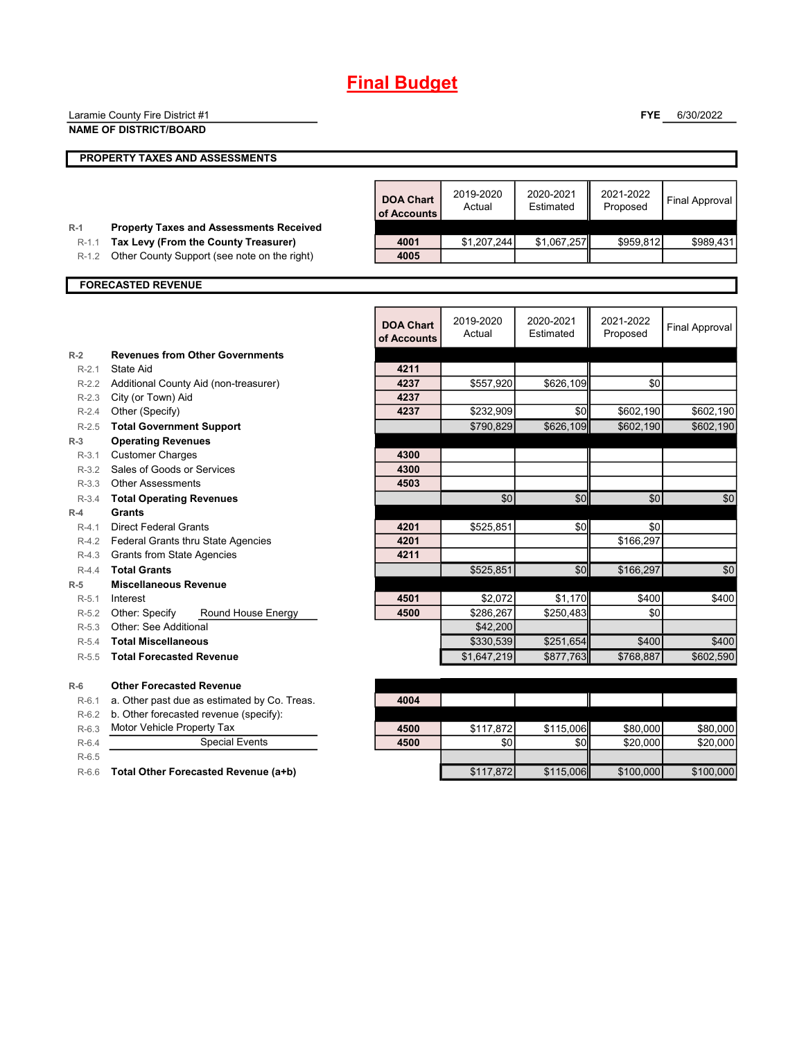# **Final Budget**

|                    | Laramie County Fire District #1                                                      |                                 |                     |                        | <b>FYE</b>            | 6/30/2022             |
|--------------------|--------------------------------------------------------------------------------------|---------------------------------|---------------------|------------------------|-----------------------|-----------------------|
|                    | <b>NAME OF DISTRICT/BOARD</b>                                                        |                                 |                     |                        |                       |                       |
|                    | PROPERTY TAXES AND ASSESSMENTS                                                       |                                 |                     |                        |                       |                       |
|                    |                                                                                      |                                 |                     |                        |                       |                       |
|                    |                                                                                      | <b>DOA Chart</b><br>of Accounts | 2019-2020<br>Actual | 2020-2021<br>Estimated | 2021-2022<br>Proposed | <b>Final Approval</b> |
| $R-1$              | <b>Property Taxes and Assessments Received</b>                                       |                                 |                     |                        |                       |                       |
| $R-1.1$<br>$R-1.2$ | Tax Levy (From the County Treasurer)<br>Other County Support (see note on the right) | 4001<br>4005                    | \$1,207,244         | \$1,067,257            | \$959,812             | \$989,431             |
|                    |                                                                                      |                                 |                     |                        |                       |                       |
|                    | <b>FORECASTED REVENUE</b>                                                            |                                 |                     |                        |                       |                       |
|                    |                                                                                      |                                 |                     |                        |                       |                       |
|                    |                                                                                      | <b>DOA Chart</b><br>of Accounts | 2019-2020<br>Actual | 2020-2021<br>Estimated | 2021-2022<br>Proposed | Final Approval        |
| $R-2$              | <b>Revenues from Other Governments</b>                                               |                                 |                     |                        |                       |                       |
| $R-2.1$            | State Aid                                                                            | 4211                            |                     |                        |                       |                       |
| $R-2.2$            | Additional County Aid (non-treasurer)                                                | 4237                            | \$557,920           | \$626,109              | \$0                   |                       |
| $R-2.3$            | City (or Town) Aid                                                                   | 4237                            |                     |                        |                       |                       |
| $R-2.4$            | Other (Specify)                                                                      | 4237                            | \$232,909           | \$0                    | \$602,190             | \$602,190             |
| $R-2.5$            | <b>Total Government Support</b>                                                      |                                 | \$790,829           | \$626,109              | \$602,190             | \$602,190             |
| $R-3$<br>$R-3.1$   | <b>Operating Revenues</b><br><b>Customer Charges</b>                                 | 4300                            |                     |                        |                       |                       |
| $R-3.2$            | Sales of Goods or Services                                                           | 4300                            |                     |                        |                       |                       |
|                    | R-3.3 Other Assessments                                                              | 4503                            |                     |                        |                       |                       |
| $R-3.4$            | <b>Total Operating Revenues</b>                                                      |                                 | \$0                 | \$0                    | \$0                   | \$0                   |
| $R-4$              | Grants                                                                               |                                 |                     |                        |                       |                       |
| $R-4.1$            | <b>Direct Federal Grants</b>                                                         | 4201                            | \$525,851           | \$0                    | \$0                   |                       |
|                    | R-4.2 Federal Grants thru State Agencies                                             | 4201                            |                     |                        | \$166,297             |                       |
|                    | R-4.3 Grants from State Agencies                                                     | 4211                            |                     |                        |                       |                       |
| $R-4.4$            | <b>Total Grants</b>                                                                  |                                 | \$525,851           | \$0                    | \$166,297             | \$0                   |
| $R-5$              | <b>Miscellaneous Revenue</b>                                                         |                                 |                     |                        |                       |                       |
| $R-5.1$            | Interest                                                                             | 4501                            | \$2,072             | \$1,170                | \$400                 | \$400                 |
| $R-5.2$            | Other: Specify<br>Round House Energy                                                 | 4500                            | \$286,267           | \$250,483              | \$0                   |                       |
| $R - 5.3$          | <b>Other: See Additional</b>                                                         |                                 | \$42,200            |                        |                       |                       |
| $R-5.4$            | <b>Total Miscellaneous</b>                                                           |                                 | \$330,539           | \$251,654              | \$400                 | \$400                 |
| $R-5.5$            | <b>Total Forecasted Revenue</b>                                                      |                                 | \$1,647,219         | \$877,763              | \$768,887             | \$602,590             |
| $R-6$              | <b>Other Forecasted Revenue</b>                                                      |                                 |                     |                        |                       |                       |
| $R-6.1$            | a. Other past due as estimated by Co. Treas.                                         | 4004                            |                     |                        |                       |                       |
| $R-6.2$            | b. Other forecasted revenue (specify):                                               |                                 |                     |                        |                       |                       |
| $R-6.3$            | Motor Vehicle Property Tax                                                           | 4500                            | \$117,872           | \$115,006              | \$80,000              | \$80,000              |
| $R-6.4$            | <b>Special Events</b>                                                                | 4500                            | \$0                 | \$0                    | \$20,000              | \$20,000              |
| $R-6.5$            |                                                                                      |                                 |                     |                        |                       |                       |
| $R-6.6$            | Total Other Forecasted Revenue (a+b)                                                 |                                 | \$117,872           | \$115,006              | \$100,000             | \$100,000             |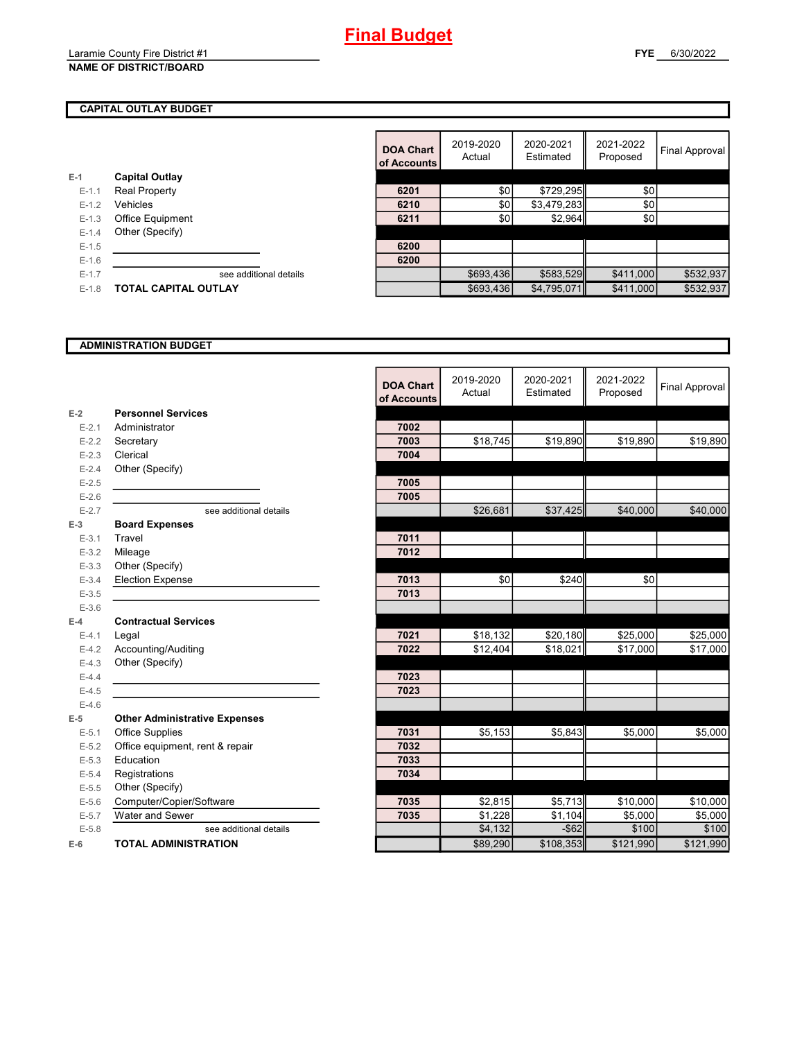#### **NAME OF DISTRICT/BOARD**

### **CAPITAL OUTLAY BUDGET**

|           |                         | UI ACCOL |
|-----------|-------------------------|----------|
| $E-1$     | <b>Capital Outlay</b>   |          |
| $E - 1.1$ | <b>Real Property</b>    | 6201     |
| $E - 1.2$ | Vehicles                | 6210     |
| $E - 1.3$ | <b>Office Equipment</b> | 6211     |
| $E - 1.4$ | Other (Specify)         |          |
| $E - 1.5$ |                         | 6200     |
| $E - 1.6$ |                         | 6200     |
| $E - 1.7$ | see additional details  |          |
| $E - 1.8$ | TOTAL CAPITAL OUTLAY    |          |
|           |                         |          |

|         |                             | <b>DOA Chart</b><br>of Accounts | 2019-2020<br>Actual | 2020-2021<br>Estimated | 2021-2022<br>Proposed | Final Approval |
|---------|-----------------------------|---------------------------------|---------------------|------------------------|-----------------------|----------------|
|         | <b>Capital Outlay</b>       |                                 |                     |                        |                       |                |
| $E-1.1$ | <b>Real Property</b>        | 6201                            | \$0                 | \$729,295              | \$0                   |                |
| $E-1.2$ | Vehicles                    | 6210                            | \$0                 | \$3,479,283            | \$0                   |                |
| $E-1.3$ | <b>Office Equipment</b>     | 6211                            | \$0                 | \$2,964                | \$0                   |                |
| $E-1.4$ | Other (Specify)             |                                 |                     |                        |                       |                |
| $E-1.5$ |                             | 6200                            |                     |                        |                       |                |
| $E-1.6$ |                             | 6200                            |                     |                        |                       |                |
| $E-1.7$ | see additional details      |                                 | \$693,436           | \$583,529              | \$411,000             | \$532,937      |
| $E-1.8$ | <b>TOTAL CAPITAL OUTLAY</b> |                                 | \$693,436           | \$4,795,071            | \$411,000             | \$532,937      |

#### **ADMINISTRATION BUDGET**

|           |                                      | <b>DOA Chart</b><br>of Accounts | 2019-2020<br>Actual | 2020-2021<br>Estimated | 2021-2022<br>Proposed | Final Approval |
|-----------|--------------------------------------|---------------------------------|---------------------|------------------------|-----------------------|----------------|
| $E-2$     | <b>Personnel Services</b>            |                                 |                     |                        |                       |                |
| $E-2.1$   | Administrator                        | 7002                            |                     |                        |                       |                |
| $E-2.2$   | Secretary                            | 7003                            | \$18,745            | \$19,890               | \$19,890              | \$19,890       |
| $E-2.3$   | Clerical                             | 7004                            |                     |                        |                       |                |
| $E - 2.4$ | Other (Specify)                      |                                 |                     |                        |                       |                |
| $E-2.5$   |                                      | 7005                            |                     |                        |                       |                |
| $E-2.6$   |                                      | 7005                            |                     |                        |                       |                |
| $E - 2.7$ | see additional details               |                                 | \$26,681            | \$37,425               | \$40,000              | \$40,000       |
| $E-3$     | <b>Board Expenses</b>                |                                 |                     |                        |                       |                |
| $E - 3.1$ | Travel                               | 7011                            |                     |                        |                       |                |
| $E - 3.2$ | Mileage                              | 7012                            |                     |                        |                       |                |
| $E - 3.3$ | Other (Specify)                      |                                 |                     |                        |                       |                |
| $E - 3.4$ | <b>Election Expense</b>              | 7013                            | \$0                 | \$240                  | \$0                   |                |
| $E - 3.5$ |                                      | 7013                            |                     |                        |                       |                |
| $E - 3.6$ |                                      |                                 |                     |                        |                       |                |
| $E-4$     | <b>Contractual Services</b>          |                                 |                     |                        |                       |                |
| $E - 4.1$ | Legal                                | 7021                            | \$18,132            | \$20,180               | \$25,000              | \$25,000       |
| $E-4.2$   | Accounting/Auditing                  | 7022                            | \$12,404            | \$18,021               | \$17,000              | \$17,000       |
| $E-4.3$   | Other (Specify)                      |                                 |                     |                        |                       |                |
| $E-4.4$   |                                      | 7023                            |                     |                        |                       |                |
| $E-4.5$   |                                      | 7023                            |                     |                        |                       |                |
| $E-4.6$   |                                      |                                 |                     |                        |                       |                |
| $E-5$     | <b>Other Administrative Expenses</b> |                                 |                     |                        |                       |                |
| $E-5.1$   | <b>Office Supplies</b>               | 7031                            | \$5,153             | \$5,843                | \$5,000               | \$5,000        |
| $E-5.2$   | Office equipment, rent & repair      | 7032                            |                     |                        |                       |                |
| $E-5.3$   | Education                            | 7033                            |                     |                        |                       |                |
| $E - 5.4$ | Registrations                        | 7034                            |                     |                        |                       |                |
| $E - 5.5$ | Other (Specify)                      |                                 |                     |                        |                       |                |
| $E-5.6$   | Computer/Copier/Software             | 7035                            | \$2.815             | \$5,713                | \$10,000              | \$10,000       |
| $E - 5.7$ | Water and Sewer                      | 7035                            | \$1,228             | \$1,104                | \$5,000               | \$5,000        |
| $E - 5.8$ | see additional details               |                                 | \$4,132             | $-$ \$62               | \$100                 | \$100          |
| $E-6$     | <b>TOTAL ADMINISTRATION</b>          |                                 | \$89.290            | \$108,353              | \$121.990             | \$121.990      |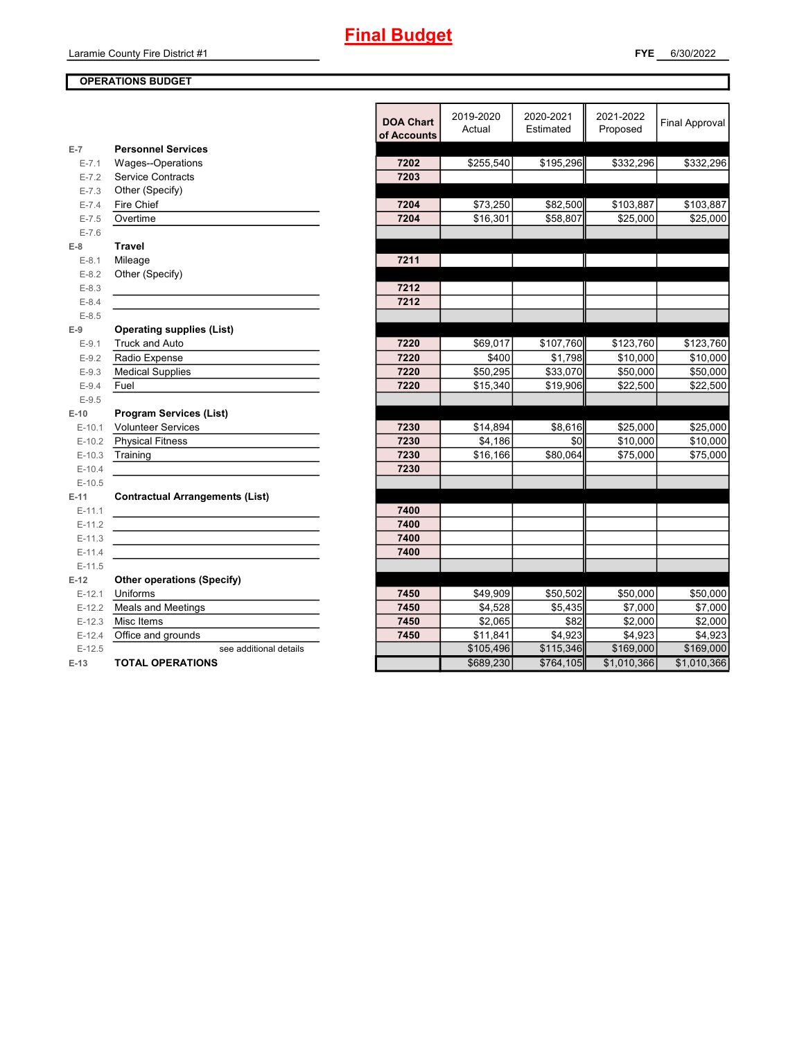# **Final Budget**

### **OPERATIONS BUDGET**

|           |                                        | <b>DOA Chart</b><br>of Accounts | 2019-2020<br>Actual | 2020-2021<br>Estimated | 2021-2022<br>Proposed | <b>Final Approval</b> |
|-----------|----------------------------------------|---------------------------------|---------------------|------------------------|-----------------------|-----------------------|
| $E-7$     | <b>Personnel Services</b>              |                                 |                     |                        |                       |                       |
| $E - 7.1$ | Wages--Operations                      | 7202                            | \$255,540           | \$195,296              | \$332,296             | \$332,296             |
| $E - 7.2$ | <b>Service Contracts</b>               | 7203                            |                     |                        |                       |                       |
| $E - 7.3$ | Other (Specify)                        |                                 |                     |                        |                       |                       |
| $E - 7.4$ | Fire Chief                             | 7204                            | \$73,250            | \$82,500               | \$103,887             | \$103,887             |
| $E - 7.5$ | Overtime                               | 7204                            | \$16,301            | \$58,807               | \$25,000              | \$25,000              |
| $E - 7.6$ |                                        |                                 |                     |                        |                       |                       |
| $E-8$     | <b>Travel</b>                          |                                 |                     |                        |                       |                       |
| $E-8.1$   | Mileage                                | 7211                            |                     |                        |                       |                       |
| $E - 8.2$ | Other (Specify)                        |                                 |                     |                        |                       |                       |
| $E - 8.3$ |                                        | 7212                            |                     |                        |                       |                       |
| $E - 8.4$ |                                        | 7212                            |                     |                        |                       |                       |
| $E - 8.5$ |                                        |                                 |                     |                        |                       |                       |
| $E-9$     | <b>Operating supplies (List)</b>       |                                 |                     |                        |                       |                       |
| $E-9.1$   | <b>Truck and Auto</b>                  | 7220                            | \$69,017            | \$107,760              | \$123,760             | \$123,760             |
| $E-9.2$   | Radio Expense                          | 7220                            | \$400               | \$1,798                | \$10,000              | \$10,000              |
| $E-9.3$   | <b>Medical Supplies</b>                | 7220                            | \$50,295            | \$33,070               | \$50,000              | \$50,000              |
| $E - 9.4$ | Fuel                                   | 7220                            | \$15,340            | \$19,906               | \$22,500              | \$22,500              |
| $E-9.5$   |                                        |                                 |                     |                        |                       |                       |
| $E-10$    | <b>Program Services (List)</b>         |                                 |                     |                        |                       |                       |
| $E-10.1$  | <b>Volunteer Services</b>              | 7230                            | \$14,894            | \$8,616                | \$25,000              | \$25,000              |
| $E-10.2$  | <b>Physical Fitness</b>                | 7230                            | \$4,186             | \$0                    | \$10,000              | \$10,000              |
| $E-10.3$  | Training                               | 7230                            | \$16,166            | \$80,064               | \$75,000              | \$75,000              |
| $E-10.4$  |                                        | 7230                            |                     |                        |                       |                       |
| $E-10.5$  |                                        |                                 |                     |                        |                       |                       |
| $E-11$    | <b>Contractual Arrangements (List)</b> |                                 |                     |                        |                       |                       |
| $E-11.1$  |                                        | 7400                            |                     |                        |                       |                       |
| $E-11.2$  |                                        | 7400                            |                     |                        |                       |                       |
| $E-11.3$  |                                        | 7400                            |                     |                        |                       |                       |
| $E-11.4$  |                                        | 7400                            |                     |                        |                       |                       |
| $E-11.5$  |                                        |                                 |                     |                        |                       |                       |
| $E-12$    | <b>Other operations (Specify)</b>      |                                 |                     |                        |                       |                       |
| $E-12.1$  | Uniforms                               | 7450                            | \$49,909            | \$50,502               | \$50,000              | \$50,000              |
| $E-12.2$  | Meals and Meetings                     | 7450                            | \$4,528             | \$5,435                | \$7,000               | \$7,000               |
| $E-12.3$  | Misc Items                             | 7450                            | \$2,065             | \$82                   | \$2,000               | \$2,000               |
| $E-12.4$  | Office and grounds                     | 7450                            | \$11,841            | \$4,923                | \$4,923               | \$4,923               |
| $E-12.5$  | see additional details                 |                                 | \$105,496           | \$115,346              | \$169,000             | \$169,000             |
| $E-13$    | <b>TOTAL OPERATIONS</b>                |                                 | \$689,230           | \$764,105              | \$1,010,366           | \$1,010,366           |
|           |                                        |                                 |                     |                        |                       |                       |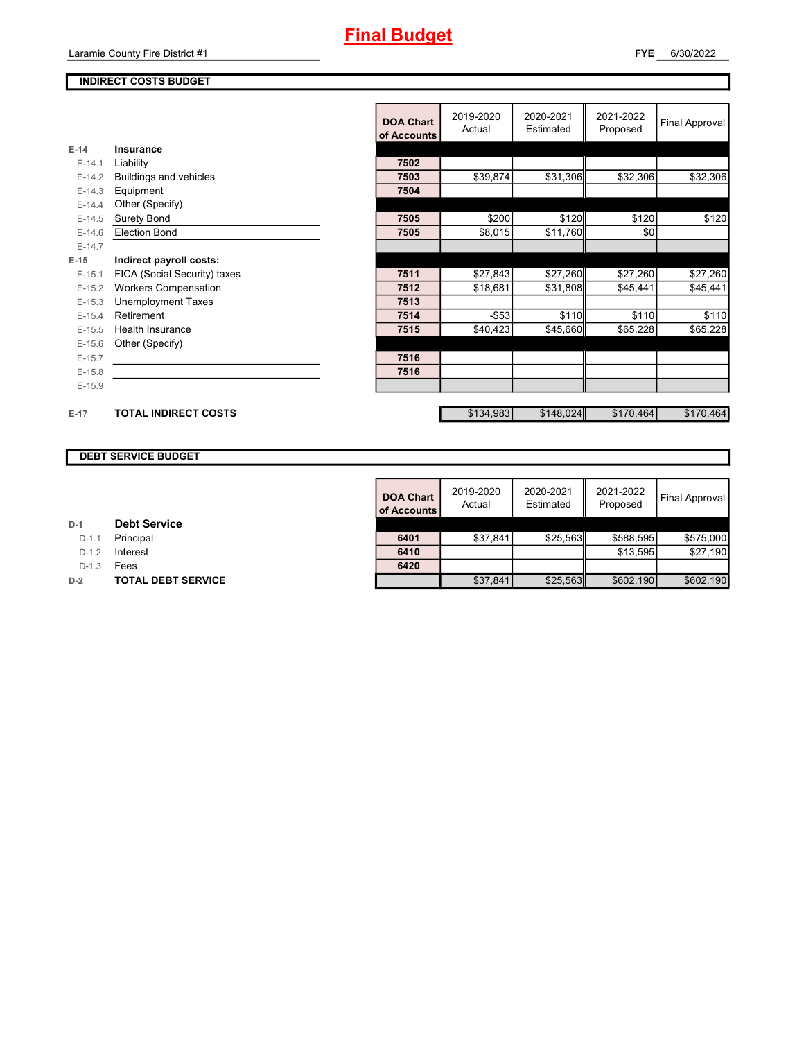## **Final Budget**

### **INDIRECT COSTS BUDGET**

|          |                              | <b>DOA Chart</b><br>of Accounts | 2019-2020<br>Actual | 2020-2021<br>Estimated | 2021-2022<br>Proposed | Final Approval |
|----------|------------------------------|---------------------------------|---------------------|------------------------|-----------------------|----------------|
| $E-14$   | <b>Insurance</b>             |                                 |                     |                        |                       |                |
| $E-14.1$ | Liability                    | 7502                            |                     |                        |                       |                |
| $E-14.2$ | Buildings and vehicles       | 7503                            | \$39,874            | \$31,306               | \$32,306              | \$32,306       |
| $E-14.3$ | Equipment                    | 7504                            |                     |                        |                       |                |
| $E-14.4$ | Other (Specify)              |                                 |                     |                        |                       |                |
| $E-14.5$ | <b>Surety Bond</b>           | 7505                            | \$200               | \$120                  | \$120                 | \$120          |
| $E-14.6$ | <b>Election Bond</b>         | 7505                            | \$8,015             | \$11,760               | \$0                   |                |
| $E-14.7$ |                              |                                 |                     |                        |                       |                |
| $E-15$   | Indirect payroll costs:      |                                 |                     |                        |                       |                |
| $E-15.1$ | FICA (Social Security) taxes | 7511                            | \$27,843            | \$27,260               | \$27,260              | \$27,260       |
| $E-15.2$ | <b>Workers Compensation</b>  | 7512                            | \$18,681            | \$31,808               | \$45,441              | \$45,441       |
| $E-15.3$ | <b>Unemployment Taxes</b>    | 7513                            |                     |                        |                       |                |
| $E-15.4$ | Retirement                   | 7514                            | $-$53$              | \$110                  | \$110                 | \$110          |
| $E-15.5$ | <b>Health Insurance</b>      | 7515                            | \$40,423            | \$45,660               | \$65,228              | \$65,228       |
| $E-15.6$ | Other (Specify)              |                                 |                     |                        |                       |                |
| $E-15.7$ |                              | 7516                            |                     |                        |                       |                |
| $E-15.8$ |                              | 7516                            |                     |                        |                       |                |
| $E-15.9$ |                              |                                 |                     |                        |                       |                |
|          |                              |                                 |                     |                        |                       |                |
| $E-17$   | <b>TOTAL INDIRECT COSTS</b>  |                                 | \$134,983           | \$148,024              | \$170,464             | \$170,464      |

### **DEBT SERVICE BUDGET**

|         |                           | <b>DOA Chart</b><br>of Accounts | 2019-2020<br>Actual | 2020-2021<br>Estimated | 2021-2022<br>Proposed | Final Approval |
|---------|---------------------------|---------------------------------|---------------------|------------------------|-----------------------|----------------|
|         | <b>Debt Service</b>       |                                 |                     |                        |                       |                |
| $D-1.1$ | Principal                 | 6401                            | \$37,841            | \$25,563               | \$588,595             | \$575,000      |
| $D-1.2$ | Interest                  | 6410                            |                     |                        | \$13.595              | \$27,190       |
| $D-1.3$ | Fees                      | 6420                            |                     |                        |                       |                |
|         | <b>TOTAL DEBT SERVICE</b> |                                 | \$37,841            | \$25,563               | \$602,190             | \$602,190      |

| <b>Debt Service</b><br>D-1 |  |
|----------------------------|--|
|----------------------------|--|

D-1.1 **Principal**<br>**D-1.2** Interest

D-1.3 **Fees** 

**D-2 TOTAL DEBT SERVICE**